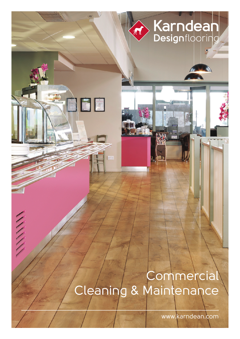# Karndean RIC

# **Commercial** Cleaning & Maintenance

WWW

www.karndean.com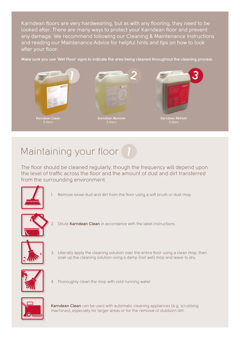Karndean floors are very hardwearing, but as with any flooring, they need to be looked after. There are many ways to protect your Karndean floor and prevent any damage. We recommend following our Cleaning & Maintenance instructions and reading our Maintenance Advice for helpful hints and tips on how to look after your floor.

**Make sure you use 'Wet Floor' signs to indicate the area being cleaned throughout the cleaning process.**



### Maintaining your floor **1**

The floor should be cleaned regularly, though the frequency will depend upon the level of traffic across the floor and the amount of dust and dirt transferred from the surrounding environment.



1. Remove loose dust and dirt from the floor using a soft brush or dust mop.



2. Dilute **Karndean Clean** in accordance with the label instructions.



3. Liberally apply the cleaning solution over the entire floor using a clean mop, then soak up the cleaning solution using a damp (not wet) mop and leave to dry.



4. Thoroughly clean the mop with cold running water.



**Karndean Clean** can be used with automatic cleaning appliances (e.g. scrubbing machines), especially for larger areas or for the removal of stubborn dirt.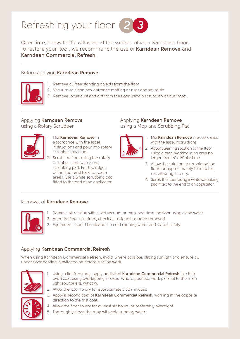

Over time, heavy traffic will wear at the surface of your Karndean floor. To restore your floor, we recommend the use of **Karndean Remove** and **Karndean Commercial Refresh**.

#### Before applying **Karndean Remove**



- 1. Remove all free standing objects from the floor
- 2. Vacuum or clean any entrance matting or rugs and set aside
- 3. Remove loose dust and dirt from the floor using a soft brush or dust mop.

#### Applying **Karndean Remove** using a Rotary Scrubber



- 1. Mix **Karndean Remove** in accordance with the label instructions and pour into rotary scrubber machine.
- Scrub the floor using the rotary scrubber fitted with a red scrubbing pad. For the edges of the floor and hard to reach areas, use a white scrubbing pad fitted to the end of an applicator.

### Applying **Karndean Remove**

using a Mop and Scrubbing Pad



- 1. Mix **Karndean Remove** in accordance with the label instructions.
- 2. Apply cleaning solution to the floor using a mop, working in an area no larger than 16' x 16' at a time.
- 3. Allow the solution to remain on the floor for approximately 10 minutes, not allowing it to dry.
- 4. Scrub the floor using a white scrubbing pad fitted to the end of an applicator.

#### Removal of **Karndean Remove**



- 1. Remove all residue with a wet vacuum or mop, and rinse the floor using clean water.
- 2. After the floor has dried, check all residue has been removed.
- 3. Equipment should be cleaned in cold running water and stored safely.

#### Applying **Karndean Commercial Refresh**

When using Karndean Commercial Refresh, avoid, where possible, strong sunlight and ensure all under floor heating is switched off before starting work.



- 1. Using a lint free mop, apply undiluted **Karndean Commercial Refresh** in a thin even coat using overlapping strokes. Where possible, work parallel to the main light source e.g. window.
- 2. Allow the floor to dry for approximately 30 minutes.
- 3. Apply a second coat of **Karndean Commercial Refresh**, working in the opposite direction to the first coat.
- 4. Allow the floor to dry for at least six hours, or preferably overnight.
- 5. Thoroughly clean the mop with cold running water.